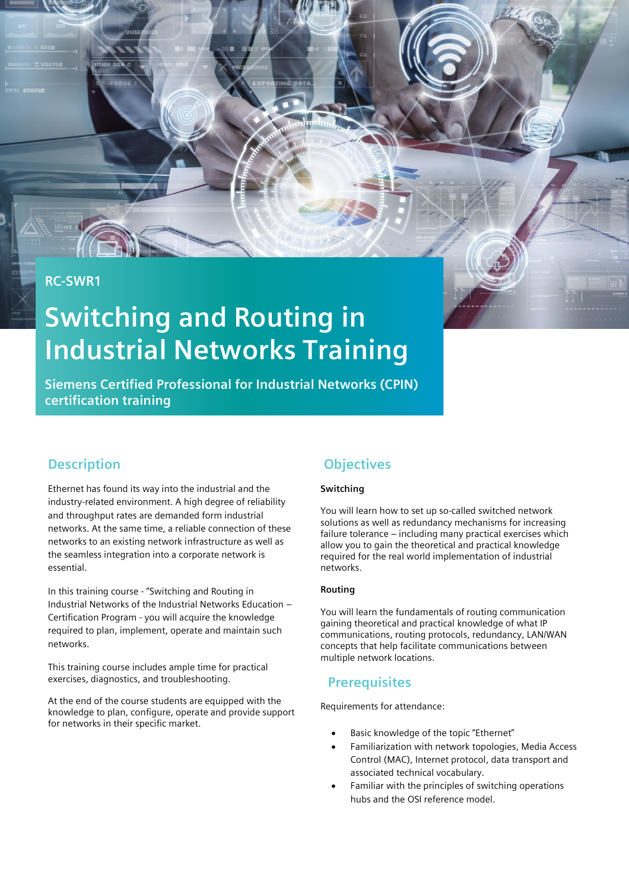# **RC-SWR1**

# **Switching and Routing in Industrial Networks Training**

**Siemens Certified Professional for Industrial Networks (CPIN) certification training**

## **Description**

Ethernet has found its way into the industrial and the industry-related environment. A high degree of reliability and throughput rates are demanded form industrial networks. At the same time, a reliable connection of these networks to an existing network infrastructure as well as the seamless integration into a corporate network is essential.

In this training course - "Switching and Routing in Industrial Networks of the Industrial Networks Education – Certification Program - you will acquire the knowledge required to plan, implement, operate and maintain such networks.

This training course includes ample time for practical exercises, diagnostics, and troubleshooting.

At the end of the course students are equipped with the knowledge to plan, configure, operate and provide support for networks in their specific market.

## **Objectives**

#### **Switching**

You will learn how to set up so-called switched network solutions as well as redundancy mechanisms for increasing failure tolerance – including many practical exercises which allow you to gain the theoretical and practical knowledge required for the real world implementation of industrial networks.

#### **Routing**

You will learn the fundamentals of routing communication gaining theoretical and practical knowledge of what IP communications, routing protocols, redundancy, LAN/WAN concepts that help facilitate communications between multiple network locations.

#### **Prerequisites**

Requirements for attendance:

- Basic knowledge of the topic "Ethernet"
- Familiarization with network topologies, Media Access Control (MAC), Internet protocol, data transport and associated technical vocabulary.
- Familiar with the principles of switching operations hubs and the OSI reference model.